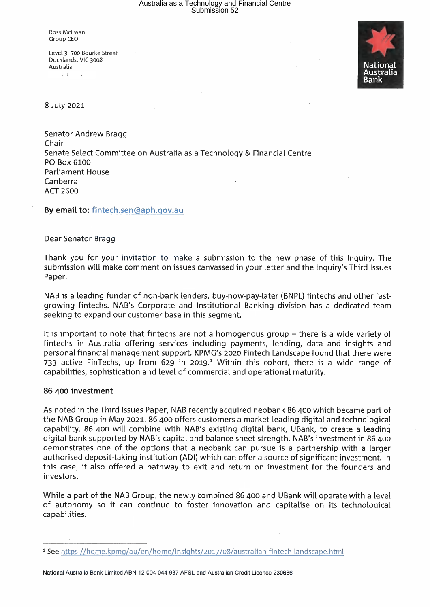**Ross McEwan Group CEO**

**LeveE 3, 700 Bourke Street Docklands, VIC 3008 Austratia** A. T



8 July **2021**

Senator Andrew Bragg Chair Senate Select Committee on Australia as a Technology & Financial Centre P0 Box 6100 Parliament House Canberra ACT 2600

**By** email **to: fintech.sen@aph.gov.au**

Dear Senator Bragg

Thank you for your invitation to make <sup>a</sup> submission to the new phase of this Inquiry. The submission will make comment on issues canvassed in your letter and the Inquiry's Third Issues Paper.

NAB is a leading funder of non-bank lenders, buy-now-pay-later (BNPL) fintechs and other fastgrowing fintechs. NAB's Corporate and Institutional Banking division has <sup>a</sup> dedicated team seeking to expand our customer base in this segment.

It is important to note that fintechs are not a homogenous group  $-$  there is a wide variety of fintechs in Australia offering services including payments, lending, data and insights and personal financial management support. KPMG's **2020** Fintech Landscape found that there were 733 active FinTechs, up from 629 in **2019.1** Within this cohort, there is <sup>a</sup> wide range of capabilities, sophistication and level of commercial and operational maturity.

## **86 400 investment**

As noted in the Third Issues Paper, NAB recently acquired neobank 86 **400** which became part of the NAB Group in May **2021.** 86 **400** offers customers <sup>a</sup> market-leading digital and technological capability. 86 **400** will combine with NAB's existing digital bank, UBank, to create <sup>a</sup> leading digital bank supported by NAB's capital and balance sheet strength. NAB's investment in 86 **400** demonstrates one of the options that <sup>a</sup> neobank can pursue is <sup>a</sup> partnership with <sup>a</sup> larger authorised deposit-taking institution (ADI) which can offer <sup>a</sup> source of significant investment. In this case, it also offered <sup>a</sup> pathway to exit and return on investment for the founders and investors.

While <sup>a</sup> part of the NAB Group, the newly combined 86 **400** and UBank will operate with <sup>a</sup> level of autonomy so it can continue to foster innovation and capitalise on its technological capabilities.

<sup>1</sup> See https://home.kpmg/au/en/home/insights/2017/08/austratian-fintech-Landscape.htmt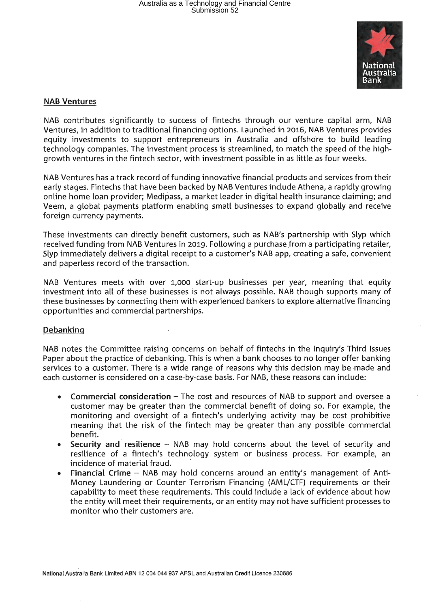

## **NAB Ventures**

NAB contributes significantly to success of fintechs through our venture capital arm, NAB Ventures, in addition to traditional financing options. Launched in 2016, NAB Ventures provides equity investments to support entrepreneurs in Australia and offshore to build leading technology companies. The investment process is streamlined, to match the speed of the highgrowth ventures in the fintech sector, with investment possible in as little as four weeks.

NAB Ventures has <sup>a</sup> track record of funding innovative financial products and services from their early stages. Fintechs that have been backed by NAB Ventures include Athena, <sup>a</sup> rapidly growing online home loan provider; Medipass, <sup>a</sup> market leader in digital health insurance claiming; and Veem, <sup>a</sup> global payments platform enabling small businesses to expand globally and receive foreign currency payments.

These investments can directly benefit customers, such as NAB's partnership with Slyp which received funding from NAB Ventures in 2019. Following <sup>a</sup> purchase from <sup>a</sup> participating retailer, Slyp immediately delivers <sup>a</sup> digital receipt to <sup>a</sup> customer's NAB app, creating <sup>a</sup> safe, convenient and paperless record of the transaction.

NAB Ventures meets with over 1,000 start-up businesses per year, meaning that equity investment into all of these businesses is not always possible. NAB though supports many of these businesses by connecting them with experienced bankers to explore alternative financing opportunities and commercial partnerships.

## **Debanking**

NAB notes the Committee raising concerns on behalf of fintechs in the Inquiry's Third Issues Paper about the practice of debanking. This is when <sup>a</sup> bank chooses to no longer offer banking services to <sup>a</sup> customer. There is <sup>a</sup> wide range of reasons why this decision may be made and each customer is considered on a case-by-case basis. For NAB, these reasons can include:

- **Commercial consideration** The cost and resources of NAB to support and oversee a customer may be greater than the commercial benefit of doing so. For example, the monitoring and oversight of <sup>a</sup> fintech's underlying activity may be cost prohibitive meaning that the risk of the fintech may be greater than any possible commercial benefit.
- **•** Security and resilience NAB may hold concerns about the level of security and resilience of <sup>a</sup> fintech's technology system or business process. For example, an incidence of material fraud.
- Financial Crime NAB may hold concerns around an entity's management of Anti-Money Laundering or Counter Terrorism Financing (AML/CTF) requirements or their capability to meet these requirements. This could incLude <sup>a</sup> lack of evidence about how the entity wilt meet their requirements, or an entity may not have sufficient processes to monitor who their customers are.